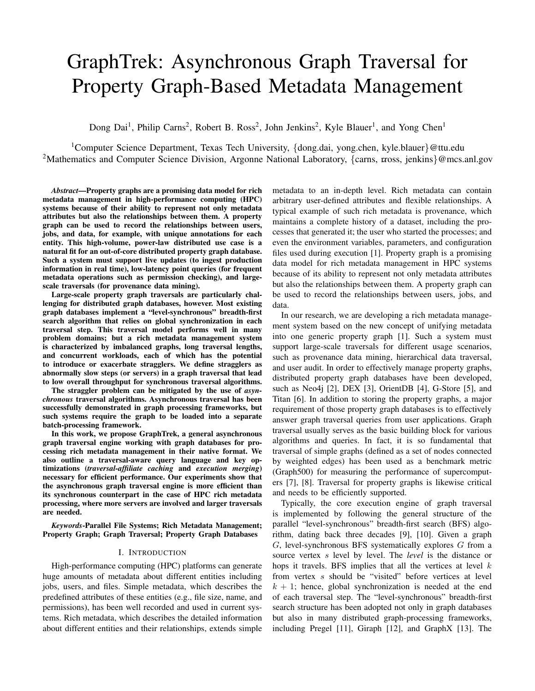# GraphTrek: Asynchronous Graph Traversal for Property Graph-Based Metadata Management

Dong Dai<sup>1</sup>, Philip Carns<sup>2</sup>, Robert B. Ross<sup>2</sup>, John Jenkins<sup>2</sup>, Kyle Blauer<sup>1</sup>, and Yong Chen<sup>1</sup>

<sup>1</sup>Computer Science Department, Texas Tech University, {dong.dai, yong.chen, kyle.blauer}@ttu.edu <sup>2</sup>Mathematics and Computer Science Division, Argonne National Laboratory, {carns, rross, jenkins}@mcs.anl.gov

*Abstract*—Property graphs are a promising data model for rich metadata management in high-performance computing (HPC) systems because of their ability to represent not only metadata attributes but also the relationships between them. A property graph can be used to record the relationships between users, jobs, and data, for example, with unique annotations for each entity. This high-volume, power-law distributed use case is a natural fit for an out-of-core distributed property graph database. Such a system must support live updates (to ingest production information in real time), low-latency point queries (for frequent metadata operations such as permission checking), and largescale traversals (for provenance data mining).

Large-scale property graph traversals are particularly challenging for distributed graph databases, however. Most existing graph databases implement a "level-synchronous" breadth-first search algorithm that relies on global synchronization in each traversal step. This traversal model performs well in many problem domains; but a rich metadata management system is characterized by imbalanced graphs, long traversal lengths, and concurrent workloads, each of which has the potential to introduce or exacerbate stragglers. We define stragglers as abnormally slow steps (or servers) in a graph traversal that lead to low overall throughput for synchronous traversal algorithms.

The straggler problem can be mitigated by the use of *asynchronous* traversal algorithms. Asynchronous traversal has been successfully demonstrated in graph processing frameworks, but such systems require the graph to be loaded into a separate batch-processing framework.

In this work, we propose GraphTrek, a general asynchronous graph traversal engine working with graph databases for processing rich metadata management in their native format. We also outline a traversal-aware query language and key optimizations (*traversal-affiliate caching* and *execution merging*) necessary for efficient performance. Our experiments show that the asynchronous graph traversal engine is more efficient than its synchronous counterpart in the case of HPC rich metadata processing, where more servers are involved and larger traversals are needed.

*Keywords*-Parallel File Systems; Rich Metadata Management; Property Graph; Graph Traversal; Property Graph Databases

## I. INTRODUCTION

High-performance computing (HPC) platforms can generate huge amounts of metadata about different entities including jobs, users, and files. Simple metadata, which describes the predefined attributes of these entities (e.g., file size, name, and permissions), has been well recorded and used in current systems. Rich metadata, which describes the detailed information about different entities and their relationships, extends simple metadata to an in-depth level. Rich metadata can contain arbitrary user-defined attributes and flexible relationships. A typical example of such rich metadata is provenance, which maintains a complete history of a dataset, including the processes that generated it; the user who started the processes; and even the environment variables, parameters, and configuration files used during execution [1]. Property graph is a promising data model for rich metadata management in HPC systems because of its ability to represent not only metadata attributes but also the relationships between them. A property graph can be used to record the relationships between users, jobs, and data.

In our research, we are developing a rich metadata management system based on the new concept of unifying metadata into one generic property graph [1]. Such a system must support large-scale traversals for different usage scenarios, such as provenance data mining, hierarchical data traversal, and user audit. In order to effectively manage property graphs, distributed property graph databases have been developed, such as Neo4j [2], DEX [3], OrientDB [4], G-Store [5], and Titan [6]. In addition to storing the property graphs, a major requirement of those property graph databases is to effectively answer graph traversal queries from user applications. Graph traversal usually serves as the basic building block for various algorithms and queries. In fact, it is so fundamental that traversal of simple graphs (defined as a set of nodes connected by weighted edges) has been used as a benchmark metric (Graph500) for measuring the performance of supercomputers [7], [8]. Traversal for property graphs is likewise critical and needs to be efficiently supported.

Typically, the core execution engine of graph traversal is implemented by following the general structure of the parallel "level-synchronous" breadth-first search (BFS) algorithm, dating back three decades [9], [10]. Given a graph  $G$ , level-synchronous BFS systematically explores  $G$  from a source vertex s level by level. The *level* is the distance or hops it travels. BFS implies that all the vertices at level  $k$ from vertex s should be "visited" before vertices at level  $k + 1$ ; hence, global synchronization is needed at the end of each traversal step. The "level-synchronous" breadth-first search structure has been adopted not only in graph databases but also in many distributed graph-processing frameworks, including Pregel [11], Giraph [12], and GraphX [13]. The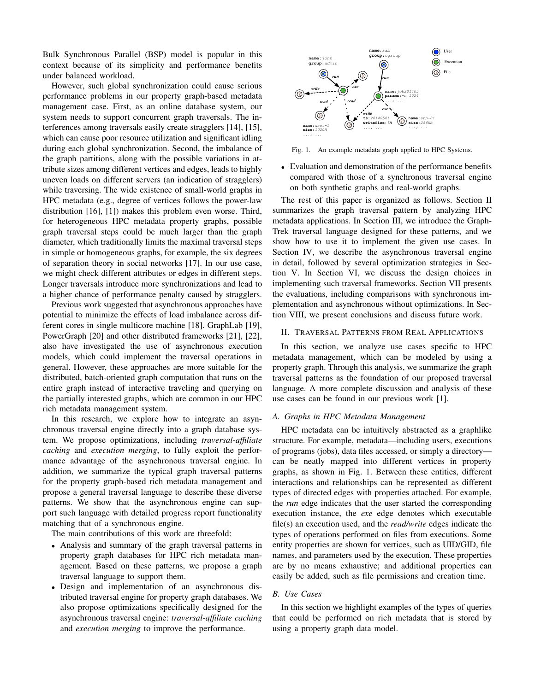Bulk Synchronous Parallel (BSP) model is popular in this context because of its simplicity and performance benefits under balanced workload.

However, such global synchronization could cause serious performance problems in our property graph-based metadata management case. First, as an online database system, our system needs to support concurrent graph traversals. The interferences among traversals easily create stragglers [14], [15], which can cause poor resource utilization and significant idling during each global synchronization. Second, the imbalance of the graph partitions, along with the possible variations in attribute sizes among different vertices and edges, leads to highly uneven loads on different servers (an indication of stragglers) while traversing. The wide existence of small-world graphs in HPC metadata (e.g., degree of vertices follows the power-law distribution [16], [1]) makes this problem even worse. Third, for heterogeneous HPC metadata property graphs, possible graph traversal steps could be much larger than the graph diameter, which traditionally limits the maximal traversal steps in simple or homogeneous graphs, for example, the six degrees of separation theory in social networks [17]. In our use case, we might check different attributes or edges in different steps. Longer traversals introduce more synchronizations and lead to a higher chance of performance penalty caused by stragglers.

Previous work suggested that asynchronous approaches have potential to minimize the effects of load imbalance across different cores in single multicore machine [18]. GraphLab [19], PowerGraph [20] and other distributed frameworks [21], [22], also have investigated the use of asynchronous execution models, which could implement the traversal operations in general. However, these approaches are more suitable for the distributed, batch-oriented graph computation that runs on the entire graph instead of interactive traveling and querying on the partially interested graphs, which are common in our HPC rich metadata management system.

In this research, we explore how to integrate an asynchronous traversal engine directly into a graph database system. We propose optimizations, including *traversal-affiliate caching* and *execution merging*, to fully exploit the performance advantage of the asynchronous traversal engine. In addition, we summarize the typical graph traversal patterns for the property graph-based rich metadata management and propose a general traversal language to describe these diverse patterns. We show that the asynchronous engine can support such language with detailed progress report functionality matching that of a synchronous engine.

The main contributions of this work are threefold:

- Analysis and summary of the graph traversal patterns in property graph databases for HPC rich metadata management. Based on these patterns, we propose a graph traversal language to support them.
- Design and implementation of an asynchronous distributed traversal engine for property graph databases. We also propose optimizations specifically designed for the asynchronous traversal engine: *traversal-affiliate caching* and *execution merging* to improve the performance.



Fig. 1. An example metadata graph applied to HPC Systems.

• Evaluation and demonstration of the performance benefits compared with those of a synchronous traversal engine on both synthetic graphs and real-world graphs.

The rest of this paper is organized as follows. Section II summarizes the graph traversal pattern by analyzing HPC metadata applications. In Section III, we introduce the Graph-Trek traversal language designed for these patterns, and we show how to use it to implement the given use cases. In Section IV, we describe the asynchronous traversal engine in detail, followed by several optimization strategies in Section V. In Section VI, we discuss the design choices in implementing such traversal frameworks. Section VII presents the evaluations, including comparisons with synchronous implementation and asynchronous without optimizations. In Section VIII, we present conclusions and discuss future work.

## II. TRAVERSAL PATTERNS FROM REAL APPLICATIONS

In this section, we analyze use cases specific to HPC metadata management, which can be modeled by using a property graph. Through this analysis, we summarize the graph traversal patterns as the foundation of our proposed traversal language. A more complete discussion and analysis of these use cases can be found in our previous work [1].

# *A. Graphs in HPC Metadata Management*

HPC metadata can be intuitively abstracted as a graphlike structure. For example, metadata—including users, executions of programs (jobs), data files accessed, or simply a directory can be neatly mapped into different vertices in property graphs, as shown in Fig. 1. Between these entities, different interactions and relationships can be represented as different types of directed edges with properties attached. For example, the *run* edge indicates that the user started the corresponding execution instance, the *exe* edge denotes which executable file(s) an execution used, and the *read/write* edges indicate the types of operations performed on files from executions. Some entity properties are shown for vertices, such as UID/GID, file names, and parameters used by the execution. These properties are by no means exhaustive; and additional properties can easily be added, such as file permissions and creation time.

# *B. Use Cases*

In this section we highlight examples of the types of queries that could be performed on rich metadata that is stored by using a property graph data model.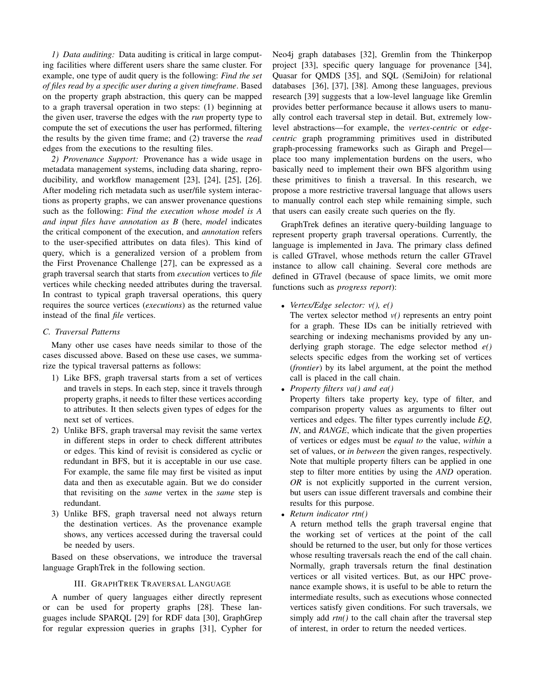*1) Data auditing:* Data auditing is critical in large computing facilities where different users share the same cluster. For example, one type of audit query is the following: *Find the set of files read by a specific user during a given timeframe*. Based on the property graph abstraction, this query can be mapped to a graph traversal operation in two steps: (1) beginning at the given user, traverse the edges with the *run* property type to compute the set of executions the user has performed, filtering the results by the given time frame; and (2) traverse the *read* edges from the executions to the resulting files.

*2) Provenance Support:* Provenance has a wide usage in metadata management systems, including data sharing, reproducibility, and workflow management [23], [24], [25], [26]. After modeling rich metadata such as user/file system interactions as property graphs, we can answer provenance questions such as the following: *Find the execution whose model is A and input files have annotation as B* (here, *model* indicates the critical component of the execution, and *annotation* refers to the user-specified attributes on data files). This kind of query, which is a generalized version of a problem from the First Provenance Challenge [27], can be expressed as a graph traversal search that starts from *execution* vertices to *file* vertices while checking needed attributes during the traversal. In contrast to typical graph traversal operations, this query requires the source vertices (*executions*) as the returned value instead of the final *file* vertices.

# *C. Traversal Patterns*

Many other use cases have needs similar to those of the cases discussed above. Based on these use cases, we summarize the typical traversal patterns as follows:

- 1) Like BFS, graph traversal starts from a set of vertices and travels in steps. In each step, since it travels through property graphs, it needs to filter these vertices according to attributes. It then selects given types of edges for the next set of vertices.
- 2) Unlike BFS, graph traversal may revisit the same vertex in different steps in order to check different attributes or edges. This kind of revisit is considered as cyclic or redundant in BFS, but it is acceptable in our use case. For example, the same file may first be visited as input data and then as executable again. But we do consider that revisiting on the *same* vertex in the *same* step is redundant.
- 3) Unlike BFS, graph traversal need not always return the destination vertices. As the provenance example shows, any vertices accessed during the traversal could be needed by users.

Based on these observations, we introduce the traversal language GraphTrek in the following section.

# III. GRAPHTREK TRAVERSAL LANGUAGE

A number of query languages either directly represent or can be used for property graphs [28]. These languages include SPARQL [29] for RDF data [30], GraphGrep for regular expression queries in graphs [31], Cypher for Neo4j graph databases [32], Gremlin from the Thinkerpop project [33], specific query language for provenance [34], Quasar for QMDS [35], and SQL (SemiJoin) for relational databases [36], [37], [38]. Among these languages, previous research [39] suggests that a low-level language like Gremlin provides better performance because it allows users to manually control each traversal step in detail. But, extremely lowlevel abstractions—for example, the *vertex-centric* or *edgecentric* graph programming primitives used in distributed graph-processing frameworks such as Giraph and Pregel place too many implementation burdens on the users, who basically need to implement their own BFS algorithm using these primitives to finish a traversal. In this research, we propose a more restrictive traversal language that allows users to manually control each step while remaining simple, such that users can easily create such queries on the fly.

GraphTrek defines an iterative query-building language to represent property graph traversal operations. Currently, the language is implemented in Java. The primary class defined is called GTravel, whose methods return the caller GTravel instance to allow call chaining. Several core methods are defined in GTravel (because of space limits, we omit more functions such as *progress report*):

• *Vertex/Edge selector: v(), e()*

The vertex selector method *v()* represents an entry point for a graph. These IDs can be initially retrieved with searching or indexing mechanisms provided by any underlying graph storage. The edge selector method *e()* selects specific edges from the working set of vertices (*frontier*) by its label argument, at the point the method call is placed in the call chain.

- *Property filters va() and ea()*
- Property filters take property key, type of filter, and comparison property values as arguments to filter out vertices and edges. The filter types currently include *EQ*, *IN*, and *RANGE*, which indicate that the given properties of vertices or edges must be *equal to* the value, *within* a set of values, or *in between* the given ranges, respectively. Note that multiple property filters can be applied in one step to filter more entities by using the *AND* operation. *OR* is not explicitly supported in the current version, but users can issue different traversals and combine their results for this purpose.
- *Return indicator rtn()*

A return method tells the graph traversal engine that the working set of vertices at the point of the call should be returned to the user, but only for those vertices whose resulting traversals reach the end of the call chain. Normally, graph traversals return the final destination vertices or all visited vertices. But, as our HPC provenance example shows, it is useful to be able to return the intermediate results, such as executions whose connected vertices satisfy given conditions. For such traversals, we simply add *rtn()* to the call chain after the traversal step of interest, in order to return the needed vertices.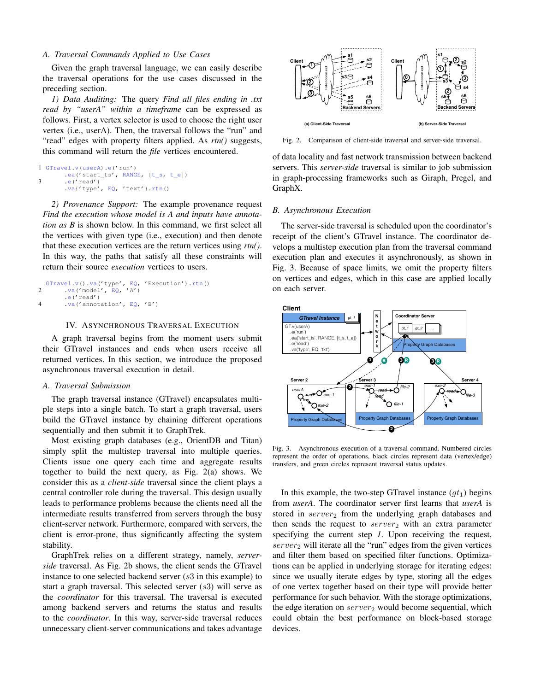#### *A. Traversal Commands Applied to Use Cases*

Given the graph traversal language, we can easily describe the traversal operations for the use cases discussed in the preceding section.

*1) Data Auditing:* The query *Find all files ending in .txt read by "userA" within a timeframe* can be expressed as follows. First, a vertex selector is used to choose the right user vertex (i.e., userA). Then, the traversal follows the "run" and "read" edges with property filters applied. As *rtn()* suggests, this command will return the *file* vertices encountered.

```
1 GTravel.v(userA).e('run')
       .ea('start_ts', RANGE, [t_s, t_e])
3 .e('read')
       .va{'type', EQ, 'text'}.rtn()
```
*2) Provenance Support:* The example provenance request *Find the execution whose model is A and inputs have annotation as B* is shown below. In this command, we first select all the vertices with given type (i.e., execution) and then denote that these execution vertices are the return vertices using *rtn()*. In this way, the paths that satisfy all these constraints will return their source *execution* vertices to users.

```
GTravel.v().va('type', EQ, 'Execution').rtn()
2 .va('model', EQ, 'A')
      .e('read')
4 .va('annotation', EQ, 'B')
```
#### IV. ASYNCHRONOUS TRAVERSAL EXECUTION

A graph traversal begins from the moment users submit their GTravel instances and ends when users receive all returned vertices. In this section, we introduce the proposed asynchronous traversal execution in detail.

#### *A. Traversal Submission*

The graph traversal instance (GTravel) encapsulates multiple steps into a single batch. To start a graph traversal, users build the GTravel instance by chaining different operations sequentially and then submit it to GraphTrek.

Most existing graph databases (e.g., OrientDB and Titan) simply split the multistep traversal into multiple queries. Clients issue one query each time and aggregate results together to build the next query, as Fig. 2(a) shows. We consider this as a *client-side* traversal since the client plays a central controller role during the traversal. This design usually leads to performance problems because the clients need all the intermediate results transferred from servers through the busy client-server network. Furthermore, compared with servers, the client is error-prone, thus significantly affecting the system stability.

GraphTrek relies on a different strategy, namely, *serverside* traversal. As Fig. 2b shows, the client sends the GTravel instance to one selected backend server  $(s3$  in this example) to start a graph traversal. This selected server  $(s3)$  will serve as the *coordinator* for this traversal. The traversal is executed among backend servers and returns the status and results to the *coordinator*. In this way, server-side traversal reduces unnecessary client-server communications and takes advantage



Fig. 2. Comparison of client-side traversal and server-side traversal.

of data locality and fast network transmission between backend servers. This *server-side* traversal is similar to job submission in graph-processing frameworks such as Giraph, Pregel, and GraphX.

# *B. Asynchronous Execution*

The server-side traversal is scheduled upon the coordinator's receipt of the client's GTravel instance. The coordinator develops a multistep execution plan from the traversal command execution plan and executes it asynchronously, as shown in Fig. 3. Because of space limits, we omit the property filters on vertices and edges, which in this case are applied locally on each server.



Fig. 3. Asynchronous execution of a traversal command. Numbered circles represent the order of operations, black circles represent data (vertex/edge) transfers, and green circles represent traversal status updates.

In this example, the two-step GTravel instance  $(gt_1)$  begins from *userA*. The coordinator server first learns that *userA* is stored in  $server_2$  from the underlying graph databases and then sends the request to  $server_2$  with an extra parameter specifying the current step *1*. Upon receiving the request,  $server_2$  will iterate all the "run" edges from the given vertices and filter them based on specified filter functions. Optimizations can be applied in underlying storage for iterating edges: since we usually iterate edges by type, storing all the edges of one vertex together based on their type will provide better performance for such behavior. With the storage optimizations, the edge iteration on  $server_2$  would become sequential, which could obtain the best performance on block-based storage devices.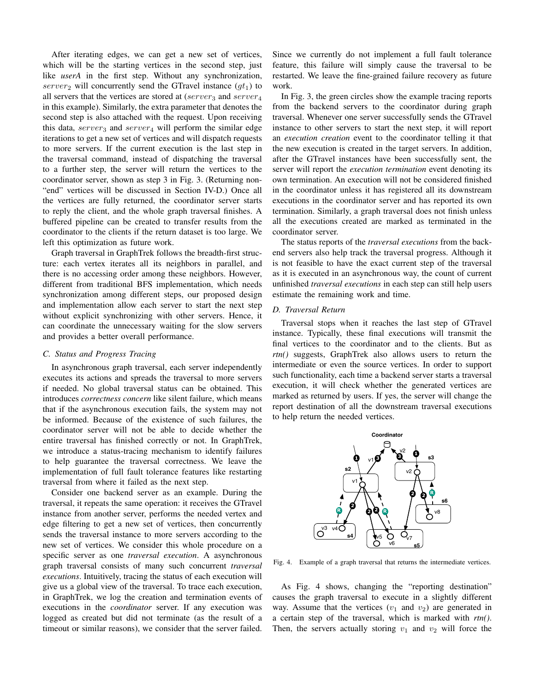After iterating edges, we can get a new set of vertices, which will be the starting vertices in the second step, just like *userA* in the first step. Without any synchronization, server<sub>2</sub> will concurrently send the GTravel instance  $(gt_1)$  to all servers that the vertices are stored at  $(server_3$  and  $server_4$ in this example). Similarly, the extra parameter that denotes the second step is also attached with the request. Upon receiving this data,  $server_3$  and  $server_4$  will perform the similar edge iterations to get a new set of vertices and will dispatch requests to more servers. If the current execution is the last step in the traversal command, instead of dispatching the traversal to a further step, the server will return the vertices to the coordinator server, shown as step 3 in Fig. 3. (Returning non- "end" vertices will be discussed in Section IV-D.) Once all the vertices are fully returned, the coordinator server starts to reply the client, and the whole graph traversal finishes. A buffered pipeline can be created to transfer results from the coordinator to the clients if the return dataset is too large. We left this optimization as future work.

Graph traversal in GraphTrek follows the breadth-first structure: each vertex iterates all its neighbors in parallel, and there is no accessing order among these neighbors. However, different from traditional BFS implementation, which needs synchronization among different steps, our proposed design and implementation allow each server to start the next step without explicit synchronizing with other servers. Hence, it can coordinate the unnecessary waiting for the slow servers and provides a better overall performance.

# *C. Status and Progress Tracing*

In asynchronous graph traversal, each server independently executes its actions and spreads the traversal to more servers if needed. No global traversal status can be obtained. This introduces *correctness concern* like silent failure, which means that if the asynchronous execution fails, the system may not be informed. Because of the existence of such failures, the coordinator server will not be able to decide whether the entire traversal has finished correctly or not. In GraphTrek, we introduce a status-tracing mechanism to identify failures to help guarantee the traversal correctness. We leave the implementation of full fault tolerance features like restarting traversal from where it failed as the next step.

Consider one backend server as an example. During the traversal, it repeats the same operation: it receives the GTravel instance from another server, performs the needed vertex and edge filtering to get a new set of vertices, then concurrently sends the traversal instance to more servers according to the new set of vertices. We consider this whole procedure on a specific server as one *traversal execution*. A asynchronous graph traversal consists of many such concurrent *traversal executions*. Intuitively, tracing the status of each execution will give us a global view of the traversal. To trace each execution, in GraphTrek, we log the creation and termination events of executions in the *coordinator* server. If any execution was logged as created but did not terminate (as the result of a timeout or similar reasons), we consider that the server failed. Since we currently do not implement a full fault tolerance feature, this failure will simply cause the traversal to be restarted. We leave the fine-grained failure recovery as future work.

In Fig. 3, the green circles show the example tracing reports from the backend servers to the coordinator during graph traversal. Whenever one server successfully sends the GTravel instance to other servers to start the next step, it will report an *execution creation* event to the coordinator telling it that the new execution is created in the target servers. In addition, after the GTravel instances have been successfully sent, the server will report the *execution termination* event denoting its own termination. An execution will not be considered finished in the coordinator unless it has registered all its downstream executions in the coordinator server and has reported its own termination. Similarly, a graph traversal does not finish unless all the executions created are marked as terminated in the coordinator server.

The status reports of the *traversal executions* from the backend servers also help track the traversal progress. Although it is not feasible to have the exact current step of the traversal as it is executed in an asynchronous way, the count of current unfinished *traversal executions* in each step can still help users estimate the remaining work and time.

#### *D. Traversal Return*

Traversal stops when it reaches the last step of GTravel instance. Typically, these final executions will transmit the final vertices to the coordinator and to the clients. But as *rtn()* suggests, GraphTrek also allows users to return the intermediate or even the source vertices. In order to support such functionality, each time a backend server starts a traversal execution, it will check whether the generated vertices are marked as returned by users. If yes, the server will change the report destination of all the downstream traversal executions to help return the needed vertices.



Fig. 4. Example of a graph traversal that returns the intermediate vertices.

As Fig. 4 shows, changing the "reporting destination" causes the graph traversal to execute in a slightly different way. Assume that the vertices  $(v_1 \text{ and } v_2)$  are generated in a certain step of the traversal, which is marked with *rtn()*. Then, the servers actually storing  $v_1$  and  $v_2$  will force the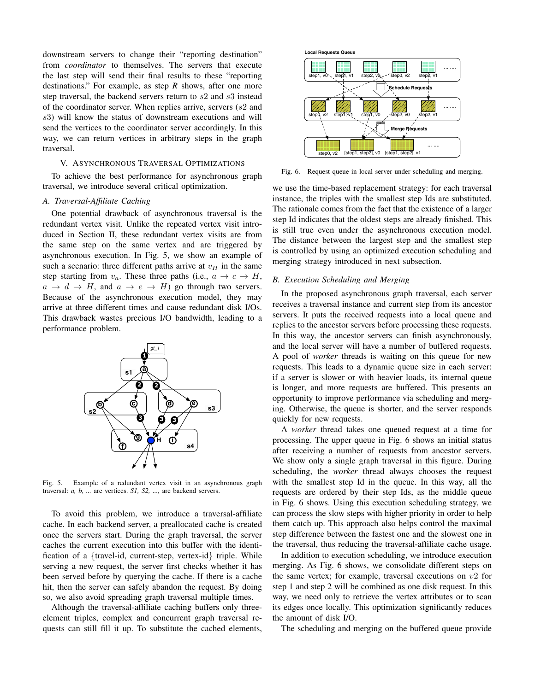downstream servers to change their "reporting destination" from *coordinator* to themselves. The servers that execute the last step will send their final results to these "reporting destinations." For example, as step *R* shows, after one more step traversal, the backend servers return to s2 and s3 instead of the coordinator server. When replies arrive, servers (s2 and s3) will know the status of downstream executions and will send the vertices to the coordinator server accordingly. In this way, we can return vertices in arbitrary steps in the graph traversal.

# V. ASYNCHRONOUS TRAVERSAL OPTIMIZATIONS

To achieve the best performance for asynchronous graph traversal, we introduce several critical optimization.

# *A. Traversal-Affiliate Caching*

One potential drawback of asynchronous traversal is the redundant vertex visit. Unlike the repeated vertex visit introduced in Section II, these redundant vertex visits are from the same step on the same vertex and are triggered by asynchronous execution. In Fig. 5, we show an example of such a scenario: three different paths arrive at  $v_H$  in the same step starting from  $v_a$ . These three paths (i.e.,  $a \rightarrow c \rightarrow H$ ,  $a \rightarrow d \rightarrow H$ , and  $a \rightarrow e \rightarrow H$ ) go through two servers. Because of the asynchronous execution model, they may arrive at three different times and cause redundant disk I/Os. This drawback wastes precious I/O bandwidth, leading to a performance problem.



Fig. 5. Example of a redundant vertex visit in an asynchronous graph traversal: *a, b, ...* are vertices. *S1, S2, ...,* are backend servers.

To avoid this problem, we introduce a traversal-affiliate cache. In each backend server, a preallocated cache is created once the servers start. During the graph traversal, the server caches the current execution into this buffer with the identification of a {travel-id, current-step, vertex-id} triple. While serving a new request, the server first checks whether it has been served before by querying the cache. If there is a cache hit, then the server can safely abandon the request. By doing so, we also avoid spreading graph traversal multiple times.

Although the traversal-affiliate caching buffers only threeelement triples, complex and concurrent graph traversal requests can still fill it up. To substitute the cached elements,



Fig. 6. Request queue in local server under scheduling and merging.

we use the time-based replacement strategy: for each traversal instance, the triples with the smallest step Ids are substituted. The rationale comes from the fact that the existence of a larger step Id indicates that the oldest steps are already finished. This is still true even under the asynchronous execution model. The distance between the largest step and the smallest step is controlled by using an optimized execution scheduling and merging strategy introduced in next subsection.

## *B. Execution Scheduling and Merging*

In the proposed asynchronous graph traversal, each server receives a traversal instance and current step from its ancestor servers. It puts the received requests into a local queue and replies to the ancestor servers before processing these requests. In this way, the ancestor servers can finish asynchronously, and the local server will have a number of buffered requests. A pool of *worker* threads is waiting on this queue for new requests. This leads to a dynamic queue size in each server: if a server is slower or with heavier loads, its internal queue is longer, and more requests are buffered. This presents an opportunity to improve performance via scheduling and merging. Otherwise, the queue is shorter, and the server responds quickly for new requests.

A *worker* thread takes one queued request at a time for processing. The upper queue in Fig. 6 shows an initial status after receiving a number of requests from ancestor servers. We show only a single graph traversal in this figure. During scheduling, the *worker* thread always chooses the request with the smallest step Id in the queue. In this way, all the requests are ordered by their step Ids, as the middle queue in Fig. 6 shows. Using this execution scheduling strategy, we can process the slow steps with higher priority in order to help them catch up. This approach also helps control the maximal step difference between the fastest one and the slowest one in the traversal, thus reducing the traversal-affiliate cache usage.

In addition to execution scheduling, we introduce execution merging. As Fig. 6 shows, we consolidate different steps on the same vertex; for example, traversal executions on  $v2$  for step 1 and step 2 will be combined as one disk request. In this way, we need only to retrieve the vertex attributes or to scan its edges once locally. This optimization significantly reduces the amount of disk I/O.

The scheduling and merging on the buffered queue provide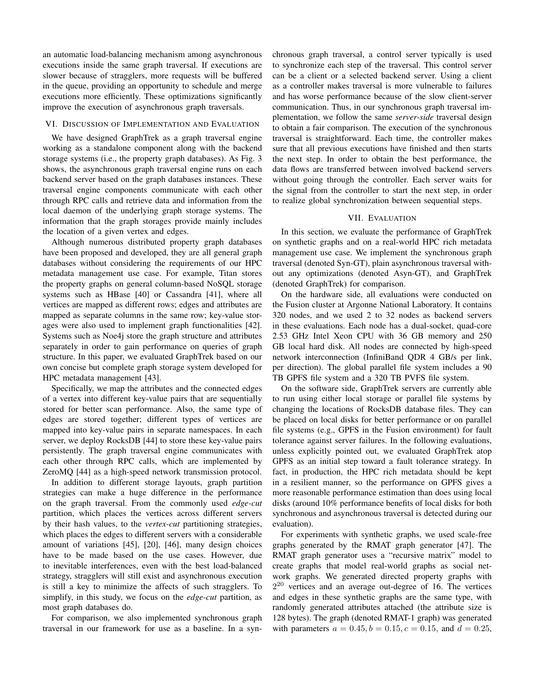an automatic load-balancing mechanism among asynchronous executions inside the same graph traversal. If executions are slower because of stragglers, more requests will be buffered in the queue, providing an opportunity to schedule and merge executions more efficiently. These optimizations significantly improve the execution of asynchronous graph traversals.

## VI. DISCUSSION OF IMPLEMENTATION AND EVALUATION

We have designed GraphTrek as a graph traversal engine working as a standalone component along with the backend storage systems (i.e., the property graph databases). As Fig. 3 shows, the asynchronous graph traversal engine runs on each backend server based on the graph databases instances. These traversal engine components communicate with each other through RPC calls and retrieve data and information from the local daemon of the underlying graph storage systems. The information that the graph storages provide mainly includes the location of a given vertex and edges.

Although numerous distributed property graph databases have been proposed and developed, they are all general graph databases without considering the requirements of our HPC metadata management use case. For example, Titan stores the property graphs on general column-based NoSQL storage systems such as HBase [40] or Cassandra [41], where all vertices are mapped as different rows; edges and attributes are mapped as separate columns in the same row; key-value storages were also used to implement graph functionalities [42]. Systems such as Noe4j store the graph structure and attributes separately in order to gain performance on queries of graph structure. In this paper, we evaluated GraphTrek based on our own concise but complete graph storage system developed for HPC metadata management [43].

Specifically, we map the attributes and the connected edges of a vertex into different key-value pairs that are sequentially stored for better scan performance. Also, the same type of edges are stored together; different types of vertices are mapped into key-value pairs in separate namespaces. In each server, we deploy RocksDB [44] to store these key-value pairs persistently. The graph traversal engine communicates with each other through RPC calls, which are implemented by ZeroMQ [44] as a high-speed network transmission protocol.

In addition to different storage layouts, graph partition strategies can make a huge difference in the performance on the graph traversal. From the commonly used *edge-cut* partition, which places the vertices across different servers by their hash values, to the *vertex-cut* partitioning strategies, which places the edges to different servers with a considerable amount of variations [45], [20], [46], many design choices have to be made based on the use cases. However, due to inevitable interferences, even with the best load-balanced strategy, stragglers will still exist and asynchronous execution is still a key to minimize the affects of such stragglers. To simplify, in this study, we focus on the *edge-cut* partition, as most graph databases do.

For comparison, we also implemented synchronous graph traversal in our framework for use as a baseline. In a synchronous graph traversal, a control server typically is used to synchronize each step of the traversal. This control server can be a client or a selected backend server. Using a client as a controller makes traversal is more vulnerable to failures and has worse performance because of the slow client-server communication. Thus, in our synchronous graph traversal implementation, we follow the same *server-side* traversal design to obtain a fair comparison. The execution of the synchronous traversal is straightforward. Each time, the controller makes sure that all previous executions have finished and then starts the next step. In order to obtain the best performance, the data flows are transferred between involved backend servers without going through the controller. Each server waits for the signal from the controller to start the next step, in order to realize global synchronization between sequential steps.

# VII. EVALUATION

In this section, we evaluate the performance of GraphTrek on synthetic graphs and on a real-world HPC rich metadata management use case. We implement the synchronous graph traversal (denoted Syn-GT), plain asynchronous traversal without any optimizations (denoted Asyn-GT), and GraphTrek (denoted GraphTrek) for comparison.

On the hardware side, all evaluations were conducted on the Fusion cluster at Argonne National Laboratory. It contains 320 nodes, and we used 2 to 32 nodes as backend servers in these evaluations. Each node has a dual-socket, quad-core 2.53 GHz Intel Xeon CPU with 36 GB memory and 250 GB local hard disk. All nodes are connected by high-speed network interconnection (InfiniBand QDR 4 GB/s per link, per direction). The global parallel file system includes a 90 TB GPFS file system and a 320 TB PVFS file system.

On the software side, GraphTrek servers are currently able to run using either local storage or parallel file systems by changing the locations of RocksDB database files. They can be placed on local disks for better performance or on parallel file systems (e.g., GPFS in the Fusion environment) for fault tolerance against server failures. In the following evaluations, unless explicitly pointed out, we evaluated GraphTrek atop GPFS as an initial step toward a fault tolerance strategy. In fact, in production, the HPC rich metadata should be kept in a resilient manner, so the performance on GPFS gives a more reasonable performance estimation than does using local disks (around 10% performance benefits of local disks for both synchronous and asynchronous traversal is detected during our evaluation).

For experiments with synthetic graphs, we used scale-free graphs generated by the RMAT graph generator [47]. The RMAT graph generator uses a "recursive matrix" model to create graphs that model real-world graphs as social network graphs. We generated directed property graphs with  $2^{20}$  vertices and an average out-degree of 16. The vertices and edges in these synthetic graphs are the same type, with randomly generated attributes attached (the attribute size is 128 bytes). The graph (denoted RMAT-1 graph) was generated with parameters  $a = 0.45, b = 0.15, c = 0.15,$  and  $d = 0.25$ ,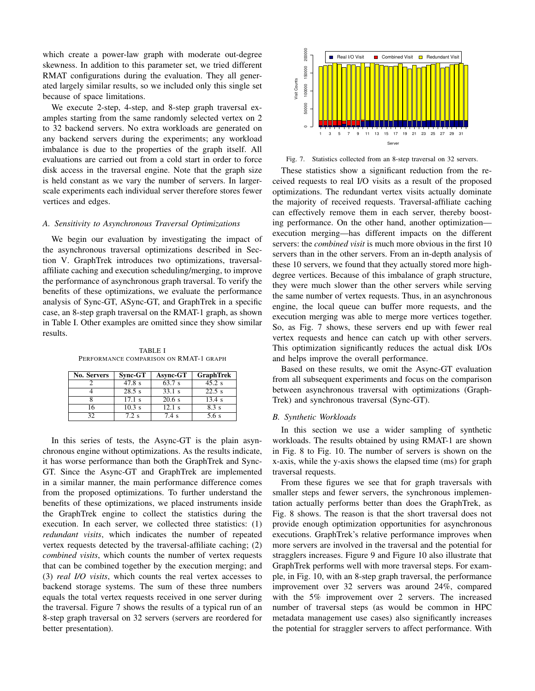which create a power-law graph with moderate out-degree skewness. In addition to this parameter set, we tried different RMAT configurations during the evaluation. They all generated largely similar results, so we included only this single set because of space limitations.

We execute 2-step, 4-step, and 8-step graph traversal examples starting from the same randomly selected vertex on 2 to 32 backend servers. No extra workloads are generated on any backend servers during the experiments; any workload imbalance is due to the properties of the graph itself. All evaluations are carried out from a cold start in order to force disk access in the traversal engine. Note that the graph size is held constant as we vary the number of servers. In largerscale experiments each individual server therefore stores fewer vertices and edges.

## *A. Sensitivity to Asynchronous Traversal Optimizations*

We begin our evaluation by investigating the impact of the asynchronous traversal optimizations described in Section V. GraphTrek introduces two optimizations, traversalaffiliate caching and execution scheduling/merging, to improve the performance of asynchronous graph traversal. To verify the benefits of these optimizations, we evaluate the performance analysis of Sync-GT, ASync-GT, and GraphTrek in a specific case, an 8-step graph traversal on the RMAT-1 graph, as shown in Table I. Other examples are omitted since they show similar results.

TABLE I PERFORMANCE COMPARISON ON RMAT-1 GRAPH

| <b>No. Servers</b> | Sync-GT  | Async-GT            | <b>GraphTrek</b> |
|--------------------|----------|---------------------|------------------|
|                    | 47.8 s   | 63.7 s              | 45.2 s           |
|                    | 28.5 s   | 33.1 s              | 22.5 s           |
|                    | 17.1 s   | $20.\overline{6}$ s | 13.4 s           |
| 16                 | $10.3$ s | 12.1 s              | $8.3 \text{ s}$  |
| 32                 | 7.2s     | $7.4\text{ s}$      | 5.6s             |

In this series of tests, the Async-GT is the plain asynchronous engine without optimizations. As the results indicate, it has worse performance than both the GraphTrek and Sync-GT. Since the Async-GT and GraphTrek are implemented in a similar manner, the main performance difference comes from the proposed optimizations. To further understand the benefits of these optimizations, we placed instruments inside the GraphTrek engine to collect the statistics during the execution. In each server, we collected three statistics: (1) *redundant visits*, which indicates the number of repeated vertex requests detected by the traversal-affiliate caching; (2) *combined visits*, which counts the number of vertex requests that can be combined together by the execution merging; and (3) *real I/O visits*, which counts the real vertex accesses to backend storage systems. The sum of these three numbers equals the total vertex requests received in one server during the traversal. Figure 7 shows the results of a typical run of an 8-step graph traversal on 32 servers (servers are reordered for better presentation).



Fig. 7. Statistics collected from an 8-step traversal on 32 servers.

These statistics show a significant reduction from the received requests to real I/O visits as a result of the proposed optimizations. The redundant vertex visits actually dominate the majority of received requests. Traversal-affiliate caching can effectively remove them in each server, thereby boosting performance. On the other hand, another optimization execution merging—has different impacts on the different servers: the *combined visit* is much more obvious in the first 10 servers than in the other servers. From an in-depth analysis of these 10 servers, we found that they actually stored more highdegree vertices. Because of this imbalance of graph structure, they were much slower than the other servers while serving the same number of vertex requests. Thus, in an asynchronous engine, the local queue can buffer more requests, and the execution merging was able to merge more vertices together. So, as Fig. 7 shows, these servers end up with fewer real vertex requests and hence can catch up with other servers. This optimization significantly reduces the actual disk I/Os and helps improve the overall performance.

Based on these results, we omit the Async-GT evaluation from all subsequent experiments and focus on the comparison between asynchronous traversal with optimizations (Graph-Trek) and synchronous traversal (Sync-GT).

# *B. Synthetic Workloads*

In this section we use a wider sampling of synthetic workloads. The results obtained by using RMAT-1 are shown in Fig. 8 to Fig. 10. The number of servers is shown on the x-axis, while the y-axis shows the elapsed time (ms) for graph traversal requests.

From these figures we see that for graph traversals with smaller steps and fewer servers, the synchronous implementation actually performs better than does the GraphTrek, as Fig. 8 shows. The reason is that the short traversal does not provide enough optimization opportunities for asynchronous executions. GraphTrek's relative performance improves when more servers are involved in the traversal and the potential for stragglers increases. Figure 9 and Figure 10 also illustrate that GraphTrek performs well with more traversal steps. For example, in Fig. 10, with an 8-step graph traversal, the performance improvement over 32 servers was around 24%, compared with the 5% improvement over 2 servers. The increased number of traversal steps (as would be common in HPC metadata management use cases) also significantly increases the potential for straggler servers to affect performance. With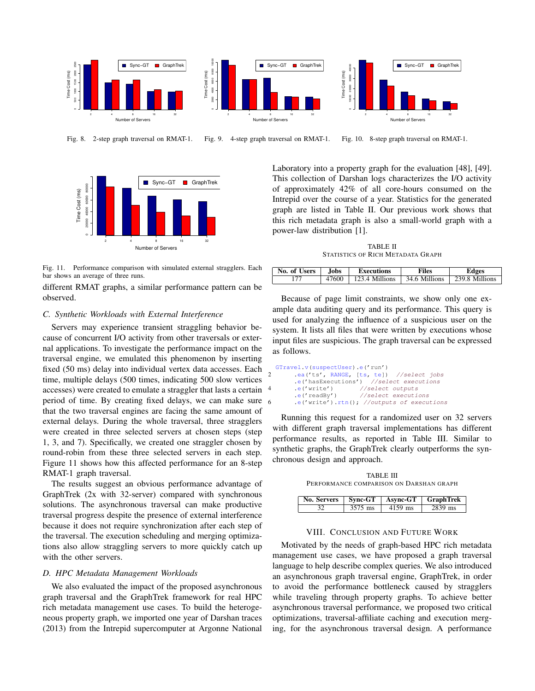

Fig. 8. 2-step graph traversal on RMAT-1. Fig. 9. 4-step graph traversal on RMAT-1. Fig. 10. 8-step graph traversal on RMAT-1.



Fig. 11. Performance comparison with simulated external stragglers. Each bar shows an average of three runs.

different RMAT graphs, a similar performance pattern can be observed.

## *C. Synthetic Workloads with External Interference*

Servers may experience transient straggling behavior because of concurrent I/O activity from other traversals or external applications. To investigate the performance impact on the traversal engine, we emulated this phenomenon by inserting fixed (50 ms) delay into individual vertex data accesses. Each time, multiple delays (500 times, indicating 500 slow vertices accesses) were created to emulate a straggler that lasts a certain period of time. By creating fixed delays, we can make sure that the two traversal engines are facing the same amount of external delays. During the whole traversal, three stragglers were created in three selected servers at chosen steps (step 1, 3, and 7). Specifically, we created one straggler chosen by round-robin from these three selected servers in each step. Figure 11 shows how this affected performance for an 8-step RMAT-1 graph traversal.

The results suggest an obvious performance advantage of GraphTrek (2x with 32-server) compared with synchronous solutions. The asynchronous traversal can make productive traversal progress despite the presence of external interference because it does not require synchronization after each step of the traversal. The execution scheduling and merging optimizations also allow straggling servers to more quickly catch up with the other servers.

#### *D. HPC Metadata Management Workloads*

We also evaluated the impact of the proposed asynchronous graph traversal and the GraphTrek framework for real HPC rich metadata management use cases. To build the heterogeneous property graph, we imported one year of Darshan traces (2013) from the Intrepid supercomputer at Argonne National Laboratory into a property graph for the evaluation [48], [49]. This collection of Darshan logs characterizes the I/O activity of approximately 42% of all core-hours consumed on the Intrepid over the course of a year. Statistics for the generated graph are listed in Table II. Our previous work shows that this rich metadata graph is also a small-world graph with a power-law distribution [1].

TABLE II STATISTICS OF RICH METADATA GRAPH

| No. of Users | <b>Jobs</b> | <b>Executions</b> | <b>Files</b>  | Edges          |
|--------------|-------------|-------------------|---------------|----------------|
|              | 47600       | 123.4 Millions    | 34.6 Millions | 239.8 Millions |
|              |             |                   |               |                |

Because of page limit constraints, we show only one example data auditing query and its performance. This query is used for analyzing the influence of a suspicious user on the system. It lists all files that were written by executions whose input files are suspicious. The graph traversal can be expressed as follows.

```
GTravel.v(suspectUser).e('run')
      ea('ts', RANGE, [ts, te]) //select jobs.<br>e('hasExecutions') //select executions
      .e('hasExecutions') //select executions
      e('write') //select outputs<br>e('readBy') //select executi
                              //select executions
      .e('write').rtn(); //outputs of executions
```
Running this request for a randomized user on 32 servers with different graph traversal implementations has different performance results, as reported in Table III. Similar to synthetic graphs, the GraphTrek clearly outperforms the synchronous design and approach.

TABLE III PERFORMANCE COMPARISON ON DARSHAN GRAPH

| No. Servers   Sync-GT   Async-GT   GraphTrek |         |           |         |
|----------------------------------------------|---------|-----------|---------|
|                                              | 3575 ms | $4159$ ms | 2839 ms |

## VIII. CONCLUSION AND FUTURE WORK

Motivated by the needs of graph-based HPC rich metadata management use cases, we have proposed a graph traversal language to help describe complex queries. We also introduced an asynchronous graph traversal engine, GraphTrek, in order to avoid the performance bottleneck caused by stragglers while traveling through property graphs. To achieve better asynchronous traversal performance, we proposed two critical optimizations, traversal-affiliate caching and execution merging, for the asynchronous traversal design. A performance